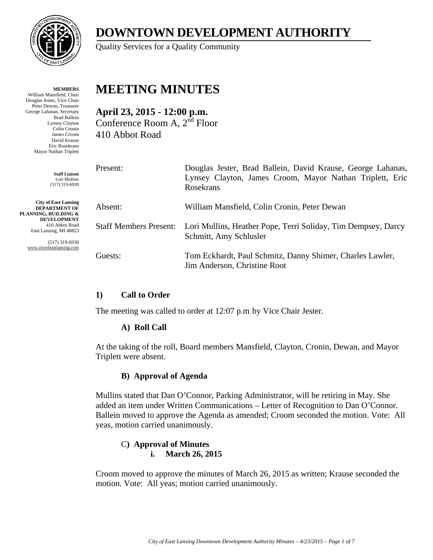

**MEMBERS** William Mansfield, Chair Douglas Jester, Vice Chair Peter Dewan, Treasurer George Lahanas, Secretary Brad Ballein Lynsey Clayton Colin Cronin James Croom David Krause Eric Rosekrans Mayor Nathan Triplett

> **Staff Liaison** Lori Mullins (517) 319-6930

**City of East Lansing DEPARTMENT OF PLANNING, BUILDING & DEVELOPMENT** 410 Abbot Road East Lansing, MI 48823

> (517) 319-6930 www.cityofeastlansing.com

# **DOWNTOWN DEVELOPMENT AUTHORITY**

Quality Services for a Quality Community

# **MEETING MINUTES**

**April 23, 2015 - 12:00 p.m.**  Conference Room A, 2nd Floor 410 Abbot Road

| Present:                      | Douglas Jester, Brad Ballein, David Krause, George Lahanas,<br>Lynsey Clayton, James Croom, Mayor Nathan Triplett, Eric<br><b>Rosekrans</b> |
|-------------------------------|---------------------------------------------------------------------------------------------------------------------------------------------|
| Absent:                       | William Mansfield, Colin Cronin, Peter Dewan                                                                                                |
| <b>Staff Members Present:</b> | Lori Mullins, Heather Pope, Terri Soliday, Tim Dempsey, Darcy<br>Schmitt, Amy Schlusler                                                     |
| Guests:                       | Tom Eckhardt, Paul Schmitz, Danny Shimer, Charles Lawler,<br>Jim Anderson, Christine Root                                                   |

# **1) Call to Order**

The meeting was called to order at 12:07 p.m. by Vice Chair Jester.

#### **A) Roll Call**

At the taking of the roll, Board members Mansfield, Clayton, Cronin, Dewan, and Mayor Triplett were absent.

#### **B) Approval of Agenda**

Mullins stated that Dan O'Connor, Parking Administrator, will be retiring in May. She added an item under Written Communications – Letter of Recognition to Dan O'Connor. Ballein moved to approve the Agenda as amended; Croom seconded the motion. Vote: All yeas, motion carried unanimously.

#### C**) Approval of Minutes i. March 26, 2015**

Croom moved to approve the minutes of March 26, 2015 as written; Krause seconded the motion. Vote: All yeas; motion carried unanimously.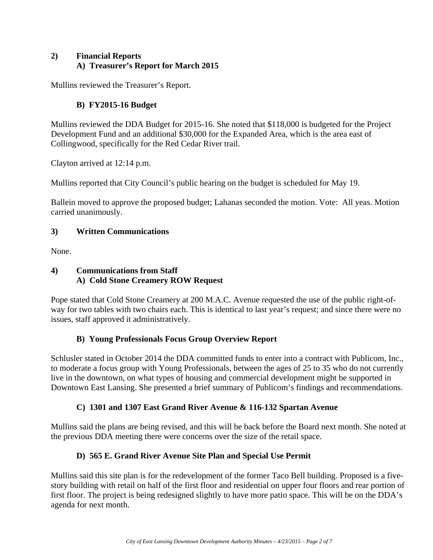#### **2) Financial Reports A) Treasurer's Report for March 2015**

Mullins reviewed the Treasurer's Report.

# **B) FY2015-16 Budget**

Mullins reviewed the DDA Budget for 2015-16. She noted that \$118,000 is budgeted for the Project Development Fund and an additional \$30,000 for the Expanded Area, which is the area east of Collingwood, specifically for the Red Cedar River trail.

Clayton arrived at 12:14 p.m.

Mullins reported that City Council's public hearing on the budget is scheduled for May 19.

Ballein moved to approve the proposed budget; Lahanas seconded the motion. Vote: All yeas. Motion carried unanimously.

#### **3) Written Communications**

None.

#### **4) Communications from Staff A) Cold Stone Creamery ROW Request**

Pope stated that Cold Stone Creamery at 200 M.A.C. Avenue requested the use of the public right-ofway for two tables with two chairs each. This is identical to last year's request; and since there were no issues, staff approved it administratively.

# **B) Young Professionals Focus Group Overview Report**

Schlusler stated in October 2014 the DDA committed funds to enter into a contract with Publicom, Inc., to moderate a focus group with Young Professionals, between the ages of 25 to 35 who do not currently live in the downtown, on what types of housing and commercial development might be supported in Downtown East Lansing. She presented a brief summary of Publicom's findings and recommendations.

# **C) 1301 and 1307 East Grand River Avenue & 116-132 Spartan Avenue**

Mullins said the plans are being revised, and this will be back before the Board next month. She noted at the previous DDA meeting there were concerns over the size of the retail space.

# **D) 565 E. Grand River Avenue Site Plan and Special Use Permit**

Mullins said this site plan is for the redevelopment of the former Taco Bell building. Proposed is a fivestory building with retail on half of the first floor and residential on upper four floors and rear portion of first floor. The project is being redesigned slightly to have more patio space. This will be on the DDA's agenda for next month.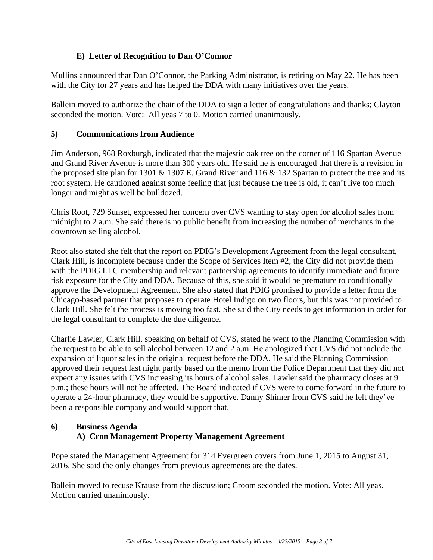#### **E) Letter of Recognition to Dan O'Connor**

Mullins announced that Dan O'Connor, the Parking Administrator, is retiring on May 22. He has been with the City for 27 years and has helped the DDA with many initiatives over the years.

Ballein moved to authorize the chair of the DDA to sign a letter of congratulations and thanks; Clayton seconded the motion. Vote: All yeas 7 to 0. Motion carried unanimously.

#### **5) Communications from Audience**

Jim Anderson, 968 Roxburgh, indicated that the majestic oak tree on the corner of 116 Spartan Avenue and Grand River Avenue is more than 300 years old. He said he is encouraged that there is a revision in the proposed site plan for 1301  $\&$  1307 E. Grand River and 116  $\&$  132 Spartan to protect the tree and its root system. He cautioned against some feeling that just because the tree is old, it can't live too much longer and might as well be bulldozed.

Chris Root, 729 Sunset, expressed her concern over CVS wanting to stay open for alcohol sales from midnight to 2 a.m. She said there is no public benefit from increasing the number of merchants in the downtown selling alcohol.

Root also stated she felt that the report on PDIG's Development Agreement from the legal consultant, Clark Hill, is incomplete because under the Scope of Services Item #2, the City did not provide them with the PDIG LLC membership and relevant partnership agreements to identify immediate and future risk exposure for the City and DDA. Because of this, she said it would be premature to conditionally approve the Development Agreement. She also stated that PDIG promised to provide a letter from the Chicago-based partner that proposes to operate Hotel Indigo on two floors, but this was not provided to Clark Hill. She felt the process is moving too fast. She said the City needs to get information in order for the legal consultant to complete the due diligence.

Charlie Lawler, Clark Hill, speaking on behalf of CVS, stated he went to the Planning Commission with the request to be able to sell alcohol between 12 and 2 a.m. He apologized that CVS did not include the expansion of liquor sales in the original request before the DDA. He said the Planning Commission approved their request last night partly based on the memo from the Police Department that they did not expect any issues with CVS increasing its hours of alcohol sales. Lawler said the pharmacy closes at 9 p.m.; these hours will not be affected. The Board indicated if CVS were to come forward in the future to operate a 24-hour pharmacy, they would be supportive. Danny Shimer from CVS said he felt they've been a responsible company and would support that.

#### **6) Business Agenda A) Cron Management Property Management Agreement**

Pope stated the Management Agreement for 314 Evergreen covers from June 1, 2015 to August 31, 2016. She said the only changes from previous agreements are the dates.

Ballein moved to recuse Krause from the discussion; Croom seconded the motion. Vote: All yeas. Motion carried unanimously.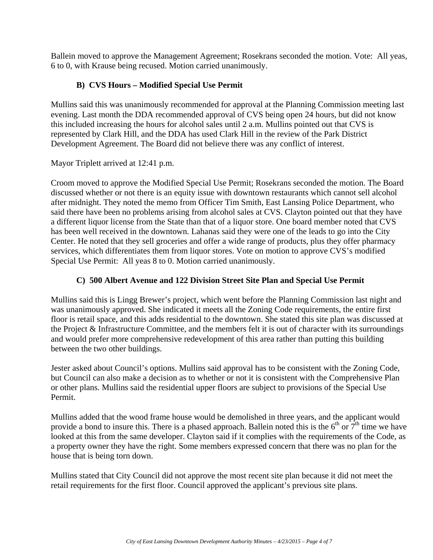Ballein moved to approve the Management Agreement; Rosekrans seconded the motion. Vote: All yeas, 6 to 0, with Krause being recused. Motion carried unanimously.

#### **B) CVS Hours – Modified Special Use Permit**

Mullins said this was unanimously recommended for approval at the Planning Commission meeting last evening. Last month the DDA recommended approval of CVS being open 24 hours, but did not know this included increasing the hours for alcohol sales until 2 a.m. Mullins pointed out that CVS is represented by Clark Hill, and the DDA has used Clark Hill in the review of the Park District Development Agreement. The Board did not believe there was any conflict of interest.

Mayor Triplett arrived at 12:41 p.m.

Croom moved to approve the Modified Special Use Permit; Rosekrans seconded the motion. The Board discussed whether or not there is an equity issue with downtown restaurants which cannot sell alcohol after midnight. They noted the memo from Officer Tim Smith, East Lansing Police Department, who said there have been no problems arising from alcohol sales at CVS. Clayton pointed out that they have a different liquor license from the State than that of a liquor store. One board member noted that CVS has been well received in the downtown. Lahanas said they were one of the leads to go into the City Center. He noted that they sell groceries and offer a wide range of products, plus they offer pharmacy services, which differentiates them from liquor stores. Vote on motion to approve CVS's modified Special Use Permit: All yeas 8 to 0. Motion carried unanimously.

#### **C) 500 Albert Avenue and 122 Division Street Site Plan and Special Use Permit**

Mullins said this is Lingg Brewer's project, which went before the Planning Commission last night and was unanimously approved. She indicated it meets all the Zoning Code requirements, the entire first floor is retail space, and this adds residential to the downtown. She stated this site plan was discussed at the Project & Infrastructure Committee, and the members felt it is out of character with its surroundings and would prefer more comprehensive redevelopment of this area rather than putting this building between the two other buildings.

Jester asked about Council's options. Mullins said approval has to be consistent with the Zoning Code, but Council can also make a decision as to whether or not it is consistent with the Comprehensive Plan or other plans. Mullins said the residential upper floors are subject to provisions of the Special Use Permit.

Mullins added that the wood frame house would be demolished in three years, and the applicant would provide a bond to insure this. There is a phased approach. Ballein noted this is the  $6<sup>th</sup>$  or  $7<sup>th</sup>$  time we have looked at this from the same developer. Clayton said if it complies with the requirements of the Code, as a property owner they have the right. Some members expressed concern that there was no plan for the house that is being torn down.

Mullins stated that City Council did not approve the most recent site plan because it did not meet the retail requirements for the first floor. Council approved the applicant's previous site plans.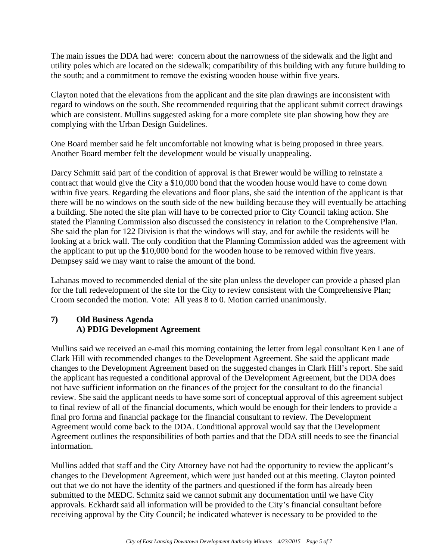The main issues the DDA had were: concern about the narrowness of the sidewalk and the light and utility poles which are located on the sidewalk; compatibility of this building with any future building to the south; and a commitment to remove the existing wooden house within five years.

Clayton noted that the elevations from the applicant and the site plan drawings are inconsistent with regard to windows on the south. She recommended requiring that the applicant submit correct drawings which are consistent. Mullins suggested asking for a more complete site plan showing how they are complying with the Urban Design Guidelines.

One Board member said he felt uncomfortable not knowing what is being proposed in three years. Another Board member felt the development would be visually unappealing.

Darcy Schmitt said part of the condition of approval is that Brewer would be willing to reinstate a contract that would give the City a \$10,000 bond that the wooden house would have to come down within five years. Regarding the elevations and floor plans, she said the intention of the applicant is that there will be no windows on the south side of the new building because they will eventually be attaching a building. She noted the site plan will have to be corrected prior to City Council taking action. She stated the Planning Commission also discussed the consistency in relation to the Comprehensive Plan. She said the plan for 122 Division is that the windows will stay, and for awhile the residents will be looking at a brick wall. The only condition that the Planning Commission added was the agreement with the applicant to put up the \$10,000 bond for the wooden house to be removed within five years. Dempsey said we may want to raise the amount of the bond.

Lahanas moved to recommended denial of the site plan unless the developer can provide a phased plan for the full redevelopment of the site for the City to review consistent with the Comprehensive Plan; Croom seconded the motion. Vote: All yeas 8 to 0. Motion carried unanimously.

#### **7) Old Business Agenda A) PDIG Development Agreement**

Mullins said we received an e-mail this morning containing the letter from legal consultant Ken Lane of Clark Hill with recommended changes to the Development Agreement. She said the applicant made changes to the Development Agreement based on the suggested changes in Clark Hill's report. She said the applicant has requested a conditional approval of the Development Agreement, but the DDA does not have sufficient information on the finances of the project for the consultant to do the financial review. She said the applicant needs to have some sort of conceptual approval of this agreement subject to final review of all of the financial documents, which would be enough for their lenders to provide a final pro forma and financial package for the financial consultant to review. The Development Agreement would come back to the DDA. Conditional approval would say that the Development Agreement outlines the responsibilities of both parties and that the DDA still needs to see the financial information.

Mullins added that staff and the City Attorney have not had the opportunity to review the applicant's changes to the Development Agreement, which were just handed out at this meeting. Clayton pointed out that we do not have the identity of the partners and questioned if the form has already been submitted to the MEDC. Schmitz said we cannot submit any documentation until we have City approvals. Eckhardt said all information will be provided to the City's financial consultant before receiving approval by the City Council; he indicated whatever is necessary to be provided to the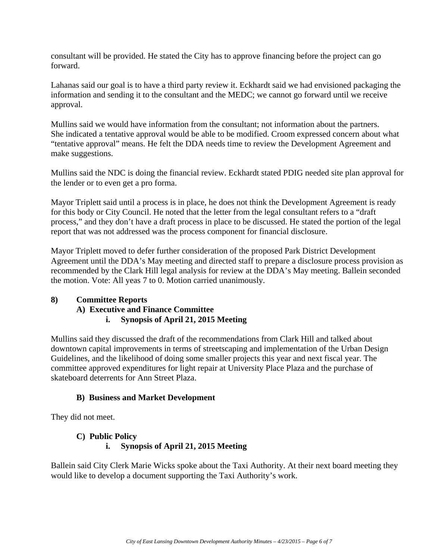consultant will be provided. He stated the City has to approve financing before the project can go forward.

Lahanas said our goal is to have a third party review it. Eckhardt said we had envisioned packaging the information and sending it to the consultant and the MEDC; we cannot go forward until we receive approval.

Mullins said we would have information from the consultant; not information about the partners. She indicated a tentative approval would be able to be modified. Croom expressed concern about what "tentative approval" means. He felt the DDA needs time to review the Development Agreement and make suggestions.

Mullins said the NDC is doing the financial review. Eckhardt stated PDIG needed site plan approval for the lender or to even get a pro forma.

Mayor Triplett said until a process is in place, he does not think the Development Agreement is ready for this body or City Council. He noted that the letter from the legal consultant refers to a "draft process," and they don't have a draft process in place to be discussed. He stated the portion of the legal report that was not addressed was the process component for financial disclosure.

Mayor Triplett moved to defer further consideration of the proposed Park District Development Agreement until the DDA's May meeting and directed staff to prepare a disclosure process provision as recommended by the Clark Hill legal analysis for review at the DDA's May meeting. Ballein seconded the motion. Vote: All yeas 7 to 0. Motion carried unanimously.

# **8) Committee Reports**

#### **A) Executive and Finance Committee**

#### **i. Synopsis of April 21, 2015 Meeting**

Mullins said they discussed the draft of the recommendations from Clark Hill and talked about downtown capital improvements in terms of streetscaping and implementation of the Urban Design Guidelines, and the likelihood of doing some smaller projects this year and next fiscal year. The committee approved expenditures for light repair at University Place Plaza and the purchase of skateboard deterrents for Ann Street Plaza.

#### **B) Business and Market Development**

They did not meet.

#### **C) Public Policy i. Synopsis of April 21, 2015 Meeting**

Ballein said City Clerk Marie Wicks spoke about the Taxi Authority. At their next board meeting they would like to develop a document supporting the Taxi Authority's work.